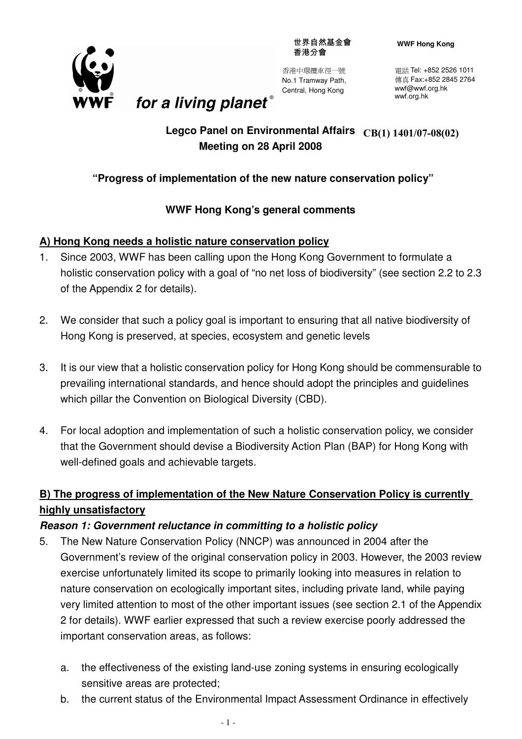世界自然基金會 香港分會



香港中環纜車徑一號 No.1 Tramway Path, Central, Hong Kong

**WWF Hong Kong**

電話 Tel: +852 2526 1011 傳真 Fax:+852 2845 2764 wwf@wwf.org.hk wwf.org.hk

## **Legco Panel on Environmental Affairs CB(1) 1401/07-08(02)Meeting on 28 April 2008**

## **"Progress of implementation of the new nature conservation policy"**

## **WWF Hong Kong's general comments**

## **A) Hong Kong needs a holistic nature conservation policy**

for a living planet®

- 1. Since 2003, WWF has been calling upon the Hong Kong Government to formulate a holistic conservation policy with a goal of "no net loss of biodiversity" (see section 2.2 to 2.3 of the Appendix 2 for details).
- 2. We consider that such a policy goal is important to ensuring that all native biodiversity of Hong Kong is preserved, at species, ecosystem and genetic levels
- 3. It is our view that a holistic conservation policy for Hong Kong should be commensurable to prevailing international standards, and hence should adopt the principles and guidelines which pillar the Convention on Biological Diversity (CBD).
- 4. For local adoption and implementation of such a holistic conservation policy, we consider that the Government should devise a Biodiversity Action Plan (BAP) for Hong Kong with well-defined goals and achievable targets.

## **B) The progress of implementation of the New Nature Conservation Policy is currently highly unsatisfactory**

## **Reason 1: Government reluctance in committing to a holistic policy**

- 5. The New Nature Conservation Policy (NNCP) was announced in 2004 after the Government's review of the original conservation policy in 2003. However, the 2003 review exercise unfortunately limited its scope to primarily looking into measures in relation to nature conservation on ecologically important sites, including private land, while paying very limited attention to most of the other important issues (see section 2.1 of the Appendix 2 for details). WWF earlier expressed that such a review exercise poorly addressed the important conservation areas, as follows:
	- a. the effectiveness of the existing land-use zoning systems in ensuring ecologically sensitive areas are protected;
	- b. the current status of the Environmental Impact Assessment Ordinance in effectively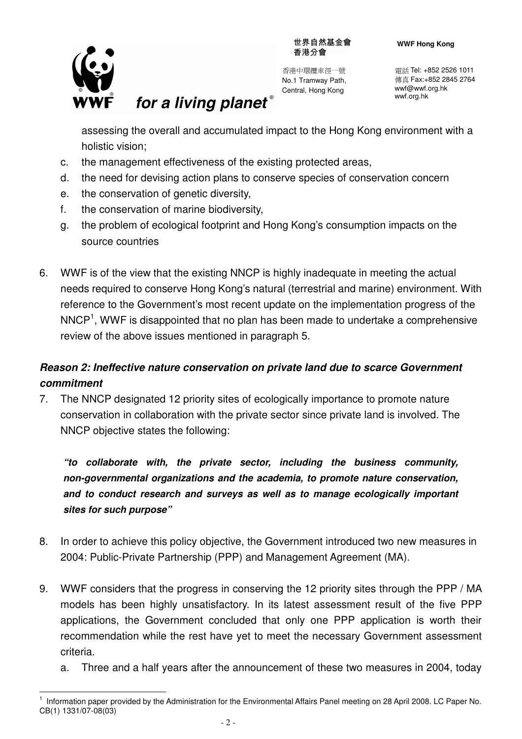

l.

世界自然基金會 香港分會

香港中環纜車徑一號 No.1 Tramway Path, Central, Hong Kong

電話 Tel: +852 2526 1011 傳真 Fax:+852 2845 2764 wwf@wwf.org.hk wwf.org.hk

assessing the overall and accumulated impact to the Hong Kong environment with a holistic vision;

c. the management effectiveness of the existing protected areas,

for a living planet®

- d. the need for devising action plans to conserve species of conservation concern
- e. the conservation of genetic diversity,
- f. the conservation of marine biodiversity,
- g. the problem of ecological footprint and Hong Kong's consumption impacts on the source countries
- 6. WWF is of the view that the existing NNCP is highly inadequate in meeting the actual needs required to conserve Hong Kong's natural (terrestrial and marine) environment. With reference to the Government's most recent update on the implementation progress of the  $NNCP<sup>1</sup>$ , WWF is disappointed that no plan has been made to undertake a comprehensive review of the above issues mentioned in paragraph 5.

# **Reason 2: Ineffective nature conservation on private land due to scarce Government commitment**

7. The NNCP designated 12 priority sites of ecologically importance to promote nature conservation in collaboration with the private sector since private land is involved. The NNCP objective states the following:

**"to collaborate with, the private sector, including the business community, non-governmental organizations and the academia, to promote nature conservation, and to conduct research and surveys as well as to manage ecologically important sites for such purpose"** 

- 8. In order to achieve this policy objective, the Government introduced two new measures in 2004: Public-Private Partnership (PPP) and Management Agreement (MA).
- 9. WWF considers that the progress in conserving the 12 priority sites through the PPP / MA models has been highly unsatisfactory. In its latest assessment result of the five PPP applications, the Government concluded that only one PPP application is worth their recommendation while the rest have yet to meet the necessary Government assessment criteria.
	- a. Three and a half years after the announcement of these two measures in 2004, today

<sup>1</sup> Information paper provided by the Administration for the Environmental Affairs Panel meeting on 28 April 2008. LC Paper No. CB(1) 1331/07-08(03)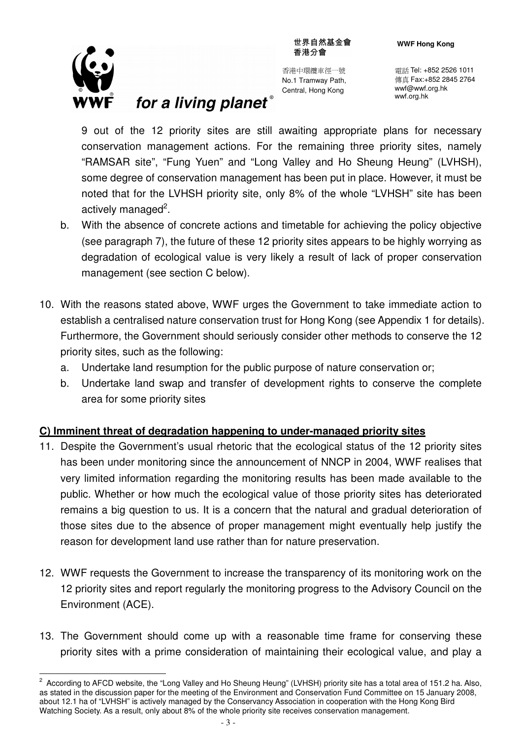

 $\overline{a}$ 

香港中環纜車徑一號 No.1 Tramway Path, Central, Hong Kong

電話 Tel: +852 2526 1011 傳真 Fax:+852 2845 2764 wwf@wwf.org.hk wwf.org.hk

9 out of the 12 priority sites are still awaiting appropriate plans for necessary conservation management actions. For the remaining three priority sites, namely "RAMSAR site", "Fung Yuen" and "Long Valley and Ho Sheung Heung" (LVHSH), some degree of conservation management has been put in place. However, it must be noted that for the LVHSH priority site, only 8% of the whole "LVHSH" site has been actively managed<sup>2</sup>.

for a living planet®

- b. With the absence of concrete actions and timetable for achieving the policy objective (see paragraph 7), the future of these 12 priority sites appears to be highly worrying as degradation of ecological value is very likely a result of lack of proper conservation management (see section C below).
- 10. With the reasons stated above, WWF urges the Government to take immediate action to establish a centralised nature conservation trust for Hong Kong (see Appendix 1 for details). Furthermore, the Government should seriously consider other methods to conserve the 12 priority sites, such as the following:
	- a. Undertake land resumption for the public purpose of nature conservation or;
	- b. Undertake land swap and transfer of development rights to conserve the complete area for some priority sites

## **C) Imminent threat of degradation happening to under-managed priority sites**

- 11. Despite the Government's usual rhetoric that the ecological status of the 12 priority sites has been under monitoring since the announcement of NNCP in 2004, WWF realises that very limited information regarding the monitoring results has been made available to the public. Whether or how much the ecological value of those priority sites has deteriorated remains a big question to us. It is a concern that the natural and gradual deterioration of those sites due to the absence of proper management might eventually help justify the reason for development land use rather than for nature preservation.
- 12. WWF requests the Government to increase the transparency of its monitoring work on the 12 priority sites and report regularly the monitoring progress to the Advisory Council on the Environment (ACE).
- 13. The Government should come up with a reasonable time frame for conserving these priority sites with a prime consideration of maintaining their ecological value, and play a

<sup>&</sup>lt;sup>2</sup> According to AFCD website, the "Long Valley and Ho Sheung Heung" (LVHSH) priority site has a total area of 151.2 ha. Also, as stated in the discussion paper for the meeting of the Environment and Conservation Fund Committee on 15 January 2008, about 12.1 ha of "LVHSH" is actively managed by the Conservancy Association in cooperation with the Hong Kong Bird Watching Society. As a result, only about 8% of the whole priority site receives conservation management.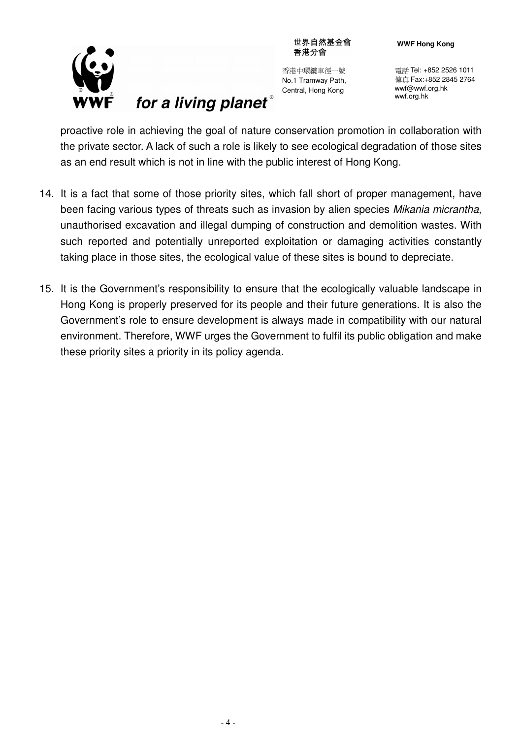

# for a living planet®

香港中環纜車徑一號 No.1 Tramway Path, Central, Hong Kong

世界自然基金會 香港分會

> 電話 Tel: +852 2526 1011 傳真 Fax:+852 2845 2764 wwf@wwf.org.hk wwf.org.hk

proactive role in achieving the goal of nature conservation promotion in collaboration with the private sector. A lack of such a role is likely to see ecological degradation of those sites as an end result which is not in line with the public interest of Hong Kong.

- 14. It is a fact that some of those priority sites, which fall short of proper management, have been facing various types of threats such as invasion by alien species Mikania micrantha, unauthorised excavation and illegal dumping of construction and demolition wastes. With such reported and potentially unreported exploitation or damaging activities constantly taking place in those sites, the ecological value of these sites is bound to depreciate.
- 15. It is the Government's responsibility to ensure that the ecologically valuable landscape in Hong Kong is properly preserved for its people and their future generations. It is also the Government's role to ensure development is always made in compatibility with our natural environment. Therefore, WWF urges the Government to fulfil its public obligation and make these priority sites a priority in its policy agenda.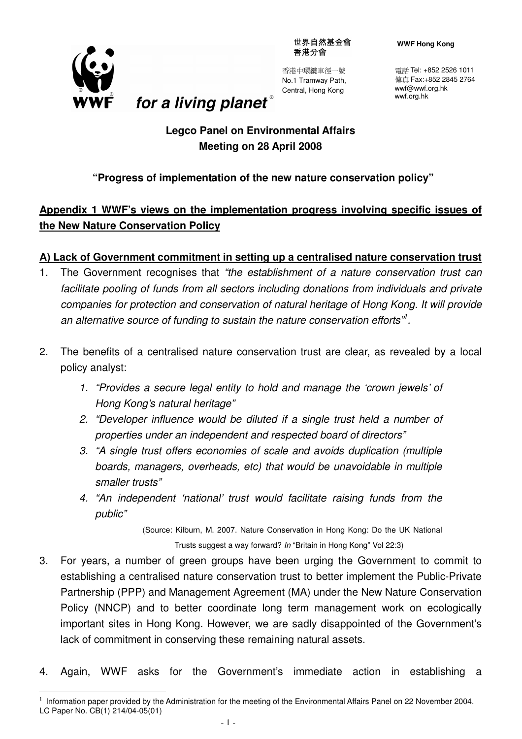世界自然基金會 香港分會



l.

香港中環纜車徑一號 No.1 Tramway Path, Central, Hong Kong

**WWF Hong Kong**

電話 Tel: +852 2526 1011 傳真 Fax:+852 2845 2764 wwf@wwf.org.hk wwf.org.hk

# **Legco Panel on Environmental Affairs Meeting on 28 April 2008**

for a living planet®

## **"Progress of implementation of the new nature conservation policy"**

## **Appendix 1 WWF's views on the implementation progress involving specific issues of the New Nature Conservation Policy**

## **A) Lack of Government commitment in setting up a centralised nature conservation trust**

- 1. The Government recognises that "the establishment of a nature conservation trust can facilitate pooling of funds from all sectors including donations from individuals and private companies for protection and conservation of natural heritage of Hong Kong. It will provide an alternative source of funding to sustain the nature conservation efforts"<sup>1</sup>.
- 2. The benefits of a centralised nature conservation trust are clear, as revealed by a local policy analyst:
	- 1. "Provides a secure legal entity to hold and manage the 'crown jewels' of Hong Kong's natural heritage"
	- 2. "Developer influence would be diluted if a single trust held a number of properties under an independent and respected board of directors"
	- 3. "A single trust offers economies of scale and avoids duplication (multiple boards, managers, overheads, etc) that would be unavoidable in multiple smaller trusts"
	- 4. "An independent 'national' trust would facilitate raising funds from the public"

 (Source: Kilburn, M. 2007. Nature Conservation in Hong Kong: Do the UK National Trusts suggest a way forward? In "Britain in Hong Kong" Vol 22:3)

- 3. For years, a number of green groups have been urging the Government to commit to establishing a centralised nature conservation trust to better implement the Public-Private Partnership (PPP) and Management Agreement (MA) under the New Nature Conservation Policy (NNCP) and to better coordinate long term management work on ecologically important sites in Hong Kong. However, we are sadly disappointed of the Government's lack of commitment in conserving these remaining natural assets.
- 4. Again, WWF asks for the Government's immediate action in establishing a

<sup>&</sup>lt;sup>1</sup> Information paper provided by the Administration for the meeting of the Environmental Affairs Panel on 22 November 2004. LC Paper No. CB(1) 214/04-05(01)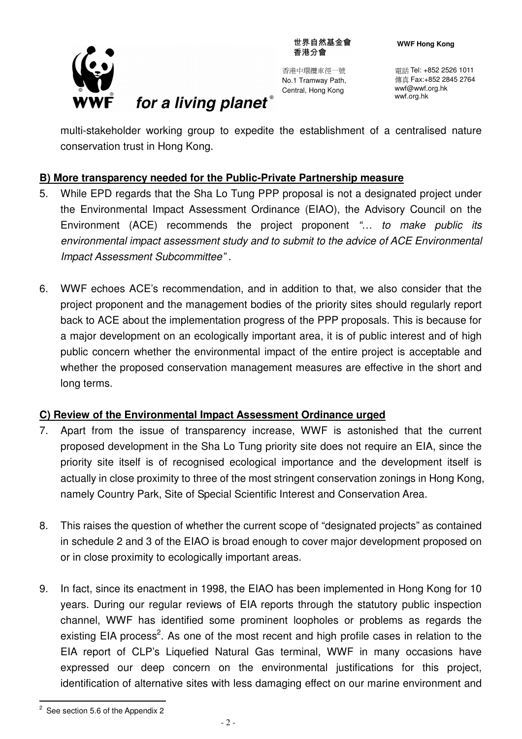

世界自然基金會 香港分會

香港中環纜車徑一號 No.1 Tramway Path, Central, Hong Kong

電話 Tel: +852 2526 1011 傳真 Fax:+852 2845 2764 wwf@wwf.org.hk wwf.org.hk

multi-stakeholder working group to expedite the establishment of a centralised nature conservation trust in Hong Kong.

## **B) More transparency needed for the Public-Private Partnership measure**

for a living planet®

- 5. While EPD regards that the Sha Lo Tung PPP proposal is not a designated project under the Environmental Impact Assessment Ordinance (EIAO), the Advisory Council on the Environment (ACE) recommends the project proponent "... to make public its environmental impact assessment study and to submit to the advice of ACE Environmental Impact Assessment Subcommittee" .
- 6. WWF echoes ACE's recommendation, and in addition to that, we also consider that the project proponent and the management bodies of the priority sites should regularly report back to ACE about the implementation progress of the PPP proposals. This is because for a major development on an ecologically important area, it is of public interest and of high public concern whether the environmental impact of the entire project is acceptable and whether the proposed conservation management measures are effective in the short and long terms.

## **C) Review of the Environmental Impact Assessment Ordinance urged**

- 7. Apart from the issue of transparency increase, WWF is astonished that the current proposed development in the Sha Lo Tung priority site does not require an EIA, since the priority site itself is of recognised ecological importance and the development itself is actually in close proximity to three of the most stringent conservation zonings in Hong Kong, namely Country Park, Site of Special Scientific Interest and Conservation Area.
- 8. This raises the question of whether the current scope of "designated projects" as contained in schedule 2 and 3 of the EIAO is broad enough to cover major development proposed on or in close proximity to ecologically important areas.
- 9. In fact, since its enactment in 1998, the EIAO has been implemented in Hong Kong for 10 years. During our regular reviews of EIA reports through the statutory public inspection channel, WWF has identified some prominent loopholes or problems as regards the existing EIA process<sup>2</sup>. As one of the most recent and high profile cases in relation to the EIA report of CLP's Liquefied Natural Gas terminal, WWF in many occasions have expressed our deep concern on the environmental justifications for this project, identification of alternative sites with less damaging effect on our marine environment and

 $\overline{a}$ 

 $2$  See section 5.6 of the Appendix 2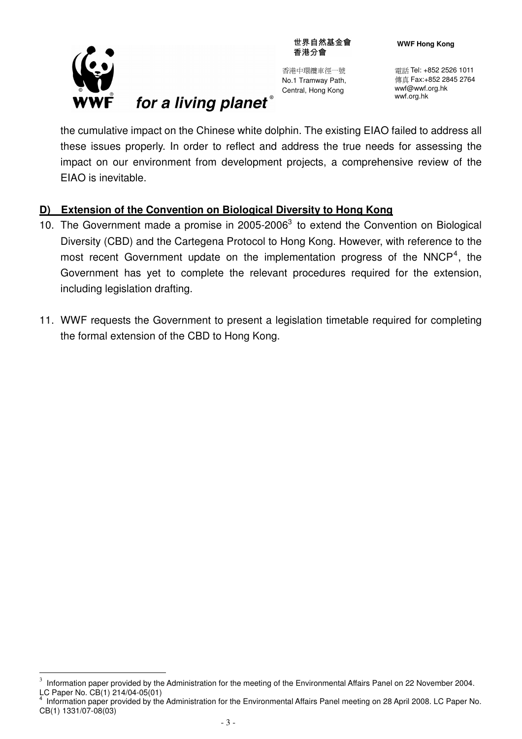

l.

for a living planet®

香港中環纜車徑一號 No.1 Tramway Path, Central, Hong Kong

電話 Tel: +852 2526 1011 傳真 Fax:+852 2845 2764 wwf@wwf.org.hk wwf.org.hk

the cumulative impact on the Chinese white dolphin. The existing EIAO failed to address all these issues properly. In order to reflect and address the true needs for assessing the impact on our environment from development projects, a comprehensive review of the EIAO is inevitable.

## **D) Extension of the Convention on Biological Diversity to Hong Kong**

- 10. The Government made a promise in  $2005-2006<sup>3</sup>$  to extend the Convention on Biological Diversity (CBD) and the Cartegena Protocol to Hong Kong. However, with reference to the most recent Government update on the implementation progress of the NNCP<sup>4</sup>, the Government has yet to complete the relevant procedures required for the extension, including legislation drafting.
- 11. WWF requests the Government to present a legislation timetable required for completing the formal extension of the CBD to Hong Kong.

<sup>3</sup> Information paper provided by the Administration for the meeting of the Environmental Affairs Panel on 22 November 2004. LC Paper No. CB(1) 214/04-05(01)

<sup>4</sup> Information paper provided by the Administration for the Environmental Affairs Panel meeting on 28 April 2008. LC Paper No. CB(1) 1331/07-08(03)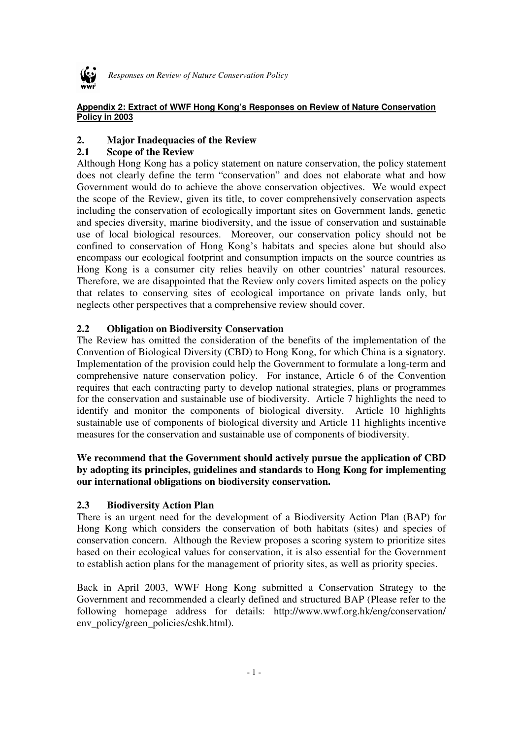

*Responses on Review of Nature Conservation Policy* 

#### **Appendix 2: Extract of WWF Hong Kong's Responses on Review of Nature Conservation Policy in 2003**

#### **2. Major Inadequacies of the Review**

#### **2.1 Scope of the Review**

Although Hong Kong has a policy statement on nature conservation, the policy statement does not clearly define the term "conservation" and does not elaborate what and how Government would do to achieve the above conservation objectives. We would expect the scope of the Review, given its title, to cover comprehensively conservation aspects including the conservation of ecologically important sites on Government lands, genetic and species diversity, marine biodiversity, and the issue of conservation and sustainable use of local biological resources. Moreover, our conservation policy should not be confined to conservation of Hong Kong's habitats and species alone but should also encompass our ecological footprint and consumption impacts on the source countries as Hong Kong is a consumer city relies heavily on other countries' natural resources. Therefore, we are disappointed that the Review only covers limited aspects on the policy that relates to conserving sites of ecological importance on private lands only, but neglects other perspectives that a comprehensive review should cover.

#### **2.2 Obligation on Biodiversity Conservation**

The Review has omitted the consideration of the benefits of the implementation of the Convention of Biological Diversity (CBD) to Hong Kong, for which China is a signatory. Implementation of the provision could help the Government to formulate a long-term and comprehensive nature conservation policy. For instance, Article 6 of the Convention requires that each contracting party to develop national strategies, plans or programmes for the conservation and sustainable use of biodiversity. Article 7 highlights the need to identify and monitor the components of biological diversity. Article 10 highlights sustainable use of components of biological diversity and Article 11 highlights incentive measures for the conservation and sustainable use of components of biodiversity.

#### **We recommend that the Government should actively pursue the application of CBD by adopting its principles, guidelines and standards to Hong Kong for implementing our international obligations on biodiversity conservation.**

#### **2.3 Biodiversity Action Plan**

There is an urgent need for the development of a Biodiversity Action Plan (BAP) for Hong Kong which considers the conservation of both habitats (sites) and species of conservation concern. Although the Review proposes a scoring system to prioritize sites based on their ecological values for conservation, it is also essential for the Government to establish action plans for the management of priority sites, as well as priority species.

Back in April 2003, WWF Hong Kong submitted a Conservation Strategy to the Government and recommended a clearly defined and structured BAP (Please refer to the following homepage address for details: http://www.wwf.org.hk/eng/conservation/ env\_policy/green\_policies/cshk.html).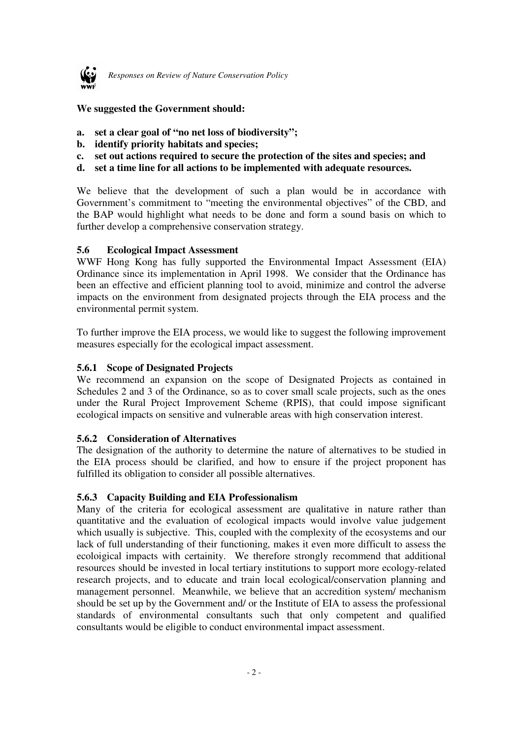

**We suggested the Government should:** 

- **a. set a clear goal of "no net loss of biodiversity";**
- **b. identify priority habitats and species;**
- **c. set out actions required to secure the protection of the sites and species; and**
- **d. set a time line for all actions to be implemented with adequate resources.**

We believe that the development of such a plan would be in accordance with Government's commitment to "meeting the environmental objectives" of the CBD, and the BAP would highlight what needs to be done and form a sound basis on which to further develop a comprehensive conservation strategy.

#### **5.6 Ecological Impact Assessment**

WWF Hong Kong has fully supported the Environmental Impact Assessment (EIA) Ordinance since its implementation in April 1998. We consider that the Ordinance has been an effective and efficient planning tool to avoid, minimize and control the adverse impacts on the environment from designated projects through the EIA process and the environmental permit system.

To further improve the EIA process, we would like to suggest the following improvement measures especially for the ecological impact assessment.

#### **5.6.1 Scope of Designated Projects**

We recommend an expansion on the scope of Designated Projects as contained in Schedules 2 and 3 of the Ordinance, so as to cover small scale projects, such as the ones under the Rural Project Improvement Scheme (RPIS), that could impose significant ecological impacts on sensitive and vulnerable areas with high conservation interest.

#### **5.6.2 Consideration of Alternatives**

The designation of the authority to determine the nature of alternatives to be studied in the EIA process should be clarified, and how to ensure if the project proponent has fulfilled its obligation to consider all possible alternatives.

#### **5.6.3 Capacity Building and EIA Professionalism**

Many of the criteria for ecological assessment are qualitative in nature rather than quantitative and the evaluation of ecological impacts would involve value judgement which usually is subjective. This, coupled with the complexity of the ecosystems and our lack of full understanding of their functioning, makes it even more difficult to assess the ecoloigical impacts with certainity. We therefore strongly recommend that additional resources should be invested in local tertiary institutions to support more ecology-related research projects, and to educate and train local ecological/conservation planning and management personnel. Meanwhile, we believe that an accredition system/ mechanism should be set up by the Government and/ or the Institute of EIA to assess the professional standards of environmental consultants such that only competent and qualified consultants would be eligible to conduct environmental impact assessment.